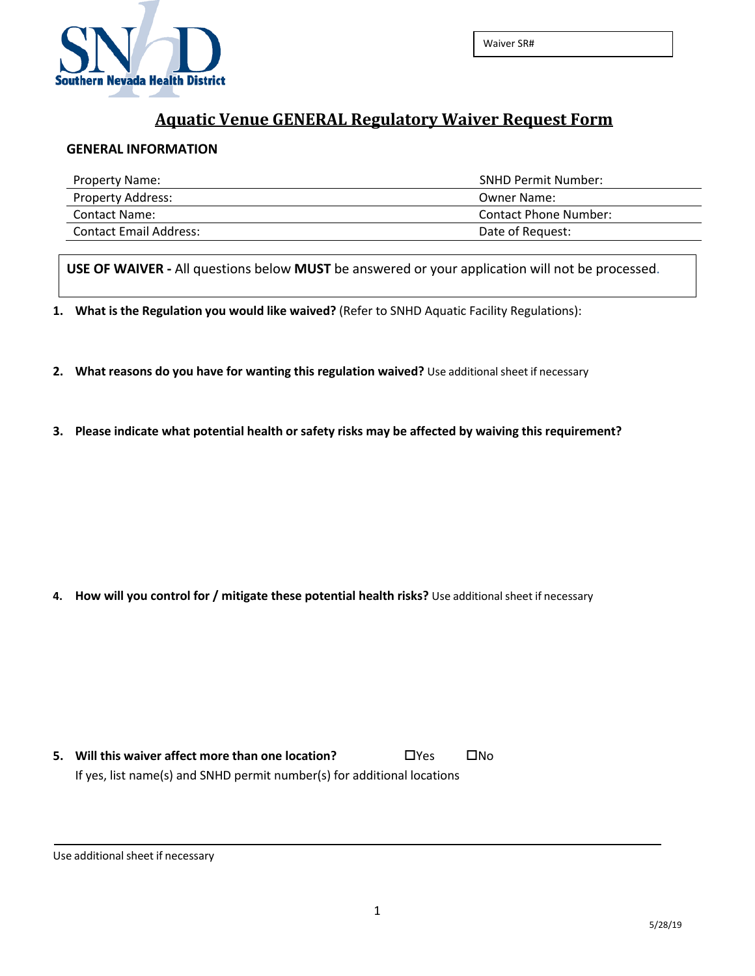

## **Aquatic Venue GENERAL Regulatory Waiver Request Form**

## **GENERAL INFORMATION**

| <b>Property Name:</b>         | <b>SNHD Permit Number:</b> |
|-------------------------------|----------------------------|
| <b>Property Address:</b>      | Owner Name:                |
| Contact Name:                 | Contact Phone Number:      |
| <b>Contact Email Address:</b> | Date of Request:           |

**USE OF WAIVER -** All questions below **MUST** be answered or your application will not be processed.

**1. What is the Regulation you would like waived?** (Refer to SNHD Aquatic Facility Regulations):

- **2. What reasons do you have for wanting this regulation waived?** Use additionalsheet if necessary
- **3. Please indicate what potential health or safety risks may be affected by waiving this requirement?**

**4. How will you control for / mitigate these potential health risks?** Use additionalsheet if necessary

**5.** Will this waiver affect more than one location?  $\Box$  Yes  $\Box$  No If yes, list name(s) and SNHD permit number(s) for additional locations

Use additional sheet if necessary